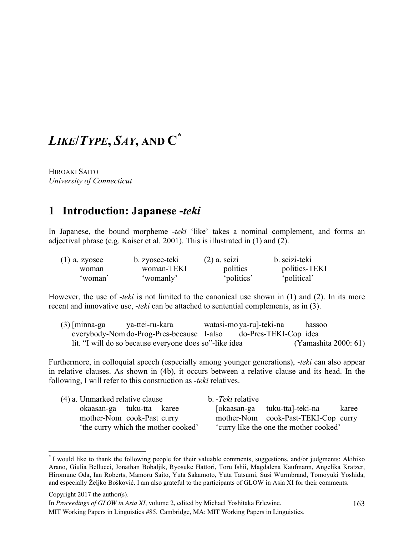# *LIKE***/***TYPE***,** *SAY***, AND C\***

HIROAKI SAITO *University of Connecticut*

## **1** Introduction: Japanese -*teki*

In Japanese, the bound morpheme -*teki* 'like' takes a nominal complement, and forms an adjectival phrase (e.g. Kaiser et al. 2001). This is illustrated in (1) and (2).

| $(1)$ a. zyosee | b. zyosee-teki | $(2)$ a. seizi | b. seizi-teki |
|-----------------|----------------|----------------|---------------|
| woman           | woman-TEKI     | politics       | politics-TEKI |
| ʻwoman'         | 'womanly'      | 'politics'     | 'political'   |

However, the use of -*teki* is not limited to the canonical use shown in (1) and (2). In its more recent and innovative use, -*teki* can be attached to sentential complements, as in (3).

| $(3)$ [minna-ga | ya-ttei-ru-kara                                        | watasi-mo ya-ru]-teki-na | hassoo               |
|-----------------|--------------------------------------------------------|--------------------------|----------------------|
|                 | everybody-Nom do-Prog-Pres-because I-also              | do-Pres-TEKI-Cop idea    |                      |
|                 | lit. "I will do so because everyone does so"-like idea |                          | (Yamashita 2000: 61) |

Furthermore, in colloquial speech (especially among younger generations), -*teki* can also appear in relative clauses. As shown in (4b), it occurs between a relative clause and its head. In the following, I will refer to this construction as -*teki* relatives.

| (4) a. Unmarked relative clause    | b. - Teki relative                     |  |
|------------------------------------|----------------------------------------|--|
| okaasan-ga tuku-tta karee          | [okaasan-ga tuku-tta]-teki-na<br>karee |  |
| mother-Nom cook-Past curry         | mother-Nom cook-Past-TEKI-Cop curry    |  |
| the curry which the mother cooked' | 'curry like the one the mother cooked' |  |

 <sup>\*</sup> I would like to thank the following people for their valuable comments, suggestions, and/or judgments: Akihiko Arano, Giulia Bellucci, Jonathan Bobaljik, Ryosuke Hattori, Toru Ishii, Magdalena Kaufmann, Angelika Kratzer, Hiromune Oda, Ian Roberts, Mamoru Saito, Yuta Sakamoto, Yuta Tatsumi, Susi Wurmbrand, Tomoyuki Yoshida, and especially Željko Bošković. I am also grateful to the participants of GLOW in Asia XI for their comments.

Copyright 2017 the author(s).

In *Proceedings of GLOW in Asia XI*, volume 2, edited by Michael Yoshitaka Erlewine.

MIT Working Papers in Linguistics #85. Cambridge, MA: MIT Working Papers in Linguistics.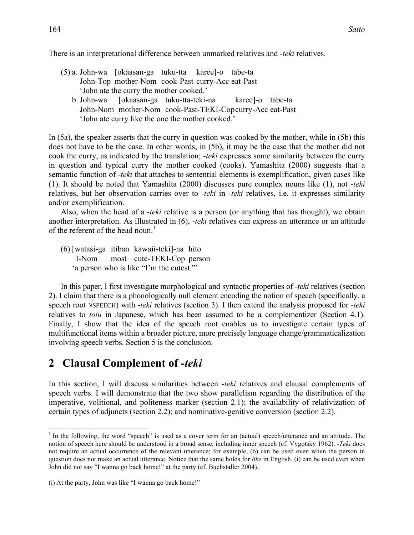There is an interpretational difference between unmarked relatives and -*teki* relatives.

- (5) a. John-wa [okaasan-ga tuku-tta karee]-o tabe-ta John-Top mother-Nom cook-Past curry-Acc eat-Past 'John ate the curry the mother cooked.'
	- b. John-wa [okaasan-ga tuku-tta-teki-na karee]-o tabe-ta John-Nom mother-Nom cook-Past-TEKI-Copcurry-Acc eat-Past 'John ate curry like the one the mother cooked.'

In (5a), the speaker asserts that the curry in question was cooked by the mother, while in (5b) this does not have to be the case. In other words, in (5b), it may be the case that the mother did not cook the curry, as indicated by the translation; -*teki* expresses some similarity between the curry in question and typical curry the mother cooked (cooks). Yamashita (2000) suggests that a semantic function of -*teki* that attaches to sentential elements is exemplification, given cases like (1). It should be noted that Yamashita (2000) discusses pure complex nouns like (1), not -*teki* relatives, but her observation carries over to -*teki* in -*teki* relatives, i.e. it expresses similarity and/or exemplification.

Also, when the head of a -*teki* relative is a person (or anything that has thought), we obtain another interpretation. As illustrated in (6), -*teki* relatives can express an utterance or an attitude of the referent of the head noun.<sup>1</sup>

(6) [watasi-ga itiban kawaii-teki]-na hito I-Nom most cute-TEKI-Cop person 'a person who is like "I'm the cutest."'

In this paper, I first investigate morphological and syntactic properties of -*teki* relatives (section 2). I claim that there is a phonologically null element encoding the notion of speech (specifically, a speech root √SPEECH) with -*teki* relatives (section 3). I then extend the analysis proposed for *-teki* relatives to *toiu* in Japanese, which has been assumed to be a complementizer (Section 4.1). Finally, I show that the idea of the speech root enables us to investigate certain types of multifunctional items within a broader picture, more precisely language change/grammaticalization involving speech verbs. Section 5 is the conclusion.

### **2**xx**Clausal Complement of** *-teki*

In this section, I will discuss similarities between -*teki* relatives and clausal complements of speech verbs. I will demonstrate that the two show parallelism regarding the distribution of the imperative, volitional, and politeness marker (section 2.1); the availability of relativization of certain types of adjuncts (section 2.2); and nominative-genitive conversion (section 2.2).

<sup>&</sup>lt;sup>1</sup> In the following, the word "speech" is used as a cover term for an (actual) speech/utterance and an attitude. The notion of speech here should be understood in a broad sense, including inner speech (cf. Vygotsky 1962). *-Teki* does not require an actual occurrence of the relevant utterance; for example, (6) can be used even when the person in question does not make an actual utterance. Notice that the same holds for *like* in English. (i) can be used even when John did not say "I wanna go back home!" at the party (cf. Buchstaller 2004).

<sup>(</sup>i) At the party, John was like "I wanna go back home!"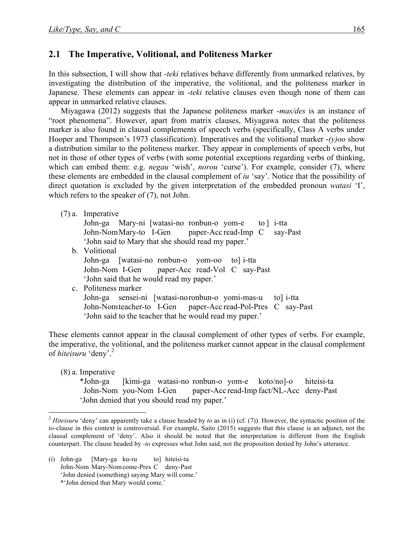#### **2.1 The Imperative, Volitional, and Politeness Marker**

In this subsection, I will show that -*teki* relatives behave differently from unmarked relatives, by investigating the distribution of the imperative, the volitional, and the politeness marker in Japanese. These elements can appear in -*teki* relative clauses even though none of them can appear in unmarked relative clauses.

Miyagawa (2012) suggests that the Japanese politeness marker -*mas/des* is an instance of "root phenomena". However, apart from matrix clauses, Miyagawa notes that the politeness marker is also found in clausal complements of speech verbs (specifically, Class A verbs under Hooper and Thompson's 1973 classification). Imperatives and the volitional marker -*(y)oo* show a distribution similar to the politeness marker. They appear in complements of speech verbs, but not in those of other types of verbs (with some potential exceptions regarding verbs of thinking, which can embed them: e.g. *negau* 'wish', *norou* 'curse'). For example, consider (7), where these elements are embedded in the clausal complement of *iu* 'say'. Notice that the possibility of direct quotation is excluded by the given interpretation of the embedded pronoun *watasi* 'I', which refers to the speaker of (7), not John.

(7) a. Imperative John-ga Mary-ni [watasi-no ronbun-o yom-e to ] i-tta John-NomMary-to I-Gen paper-Acc read-Imp C say-Past 'John said to Mary that she should read my paper.' b. Volitional John-ga [watasi-no ronbun-o yom-oo to] i-tta John-Nom I-Gen paper-Acc read-Vol C say-Past 'John said that he would read my paper.' c. Politeness marker John-ga sensei-ni [watasi-noronbun-o yomi-mas-u to] i-tta John-Nomteacher-to I-Gen paper-Acc read-Pol-Pres C say-Past 'John said to the teacher that he would read my paper.'

These elements cannot appear in the clausal complement of other types of verbs. For example, the imperative, the volitional, and the politeness marker cannot appear in the clausal complement of *hiteisuru* 'deny'. 2

(8) a. Imperative

\*John-ga [kimi-ga watasi-no ronbun-o yom-e koto/no]-o hiteisi-ta John-Nom you-Nom I-Gen paper-Acc read-Imp fact/NL-Acc deny-Past 'John denied that you should read my paper.'

 <sup>2</sup> *Hiteisuru* 'deny' can apparently take a clause headed by *to* as in (i) (cf. (7)). However, the syntactic position of the *to*-clause in this context is controversial. For example, Saito (2015) suggests that this clause is an adjunct, not the clausal complement of 'deny'. Also it should be noted that the interpretation is different from the English counterpart. The clause headed by *-to* expresses what John said, not the proposition denied by John's utterance.

<sup>(</sup>i) John-ga [Mary-ga ku-ru to] hiteisi-ta John-Nom Mary-Nomcome-Pres C deny-Past 'John denied (something) saying Mary will come.' \*'John denied that Mary would come.'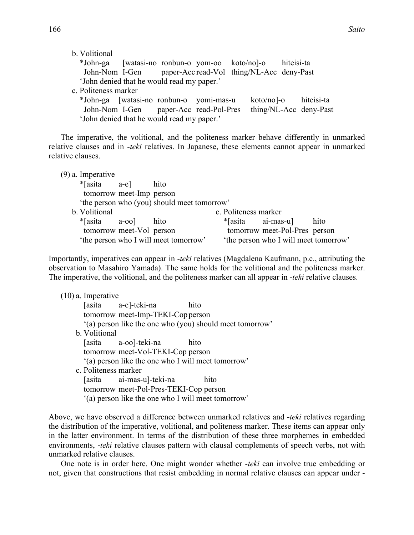| b. Volitional                                             |  |  |  |                        |
|-----------------------------------------------------------|--|--|--|------------------------|
| *John-ga [watasi-no ronbun-o yom-oo koto/no]-o hiteisi-ta |  |  |  |                        |
| John-Nom I-Gen paper-Acc read-Vol thing/NL-Acc deny-Past  |  |  |  |                        |
| 'John denied that he would read my paper.'                |  |  |  |                        |
| c. Politeness marker                                      |  |  |  |                        |
| *John-ga [watasi-no ronbun-o yomi-mas-u                   |  |  |  | koto/no]-o hiteisi-ta  |
| John-Nom I-Gen paper-Acc read-Pol-Pres                    |  |  |  | thing/NL-Acc deny-Past |
| 'John denied that he would read my paper.'                |  |  |  |                        |

The imperative, the volitional, and the politeness marker behave differently in unmarked relative clauses and in -*teki* relatives. In Japanese, these elements cannot appear in unmarked relative clauses.

| $(9)$ a. Imperative      |                                             |                      |                                       |      |
|--------------------------|---------------------------------------------|----------------------|---------------------------------------|------|
| $*$ [asita a-e]          | hito                                        |                      |                                       |      |
| tomorrow meet-Imp person |                                             |                      |                                       |      |
|                          | 'the person who (you) should meet tomorrow' |                      |                                       |      |
| b. Volitional            |                                             | c. Politeness marker |                                       |      |
| $*$ [asita a-oo]         | hito                                        | *[asita ai-mas-u]    |                                       | hito |
| tomorrow meet-Vol person |                                             |                      | tomorrow meet-Pol-Pres person         |      |
|                          | 'the person who I will meet tomorrow'       |                      | 'the person who I will meet tomorrow' |      |

Importantly, imperatives can appear in -*teki* relatives (Magdalena Kaufmann, p.c., attributing the observation to Masahiro Yamada). The same holds for the volitional and the politeness marker. The imperative, the volitional, and the politeness marker can all appear in -*teki* relative clauses.

| $(10)$ a. Imperative |                                                    |                                                          |
|----------------------|----------------------------------------------------|----------------------------------------------------------|
|                      | [asita a-e]-teki-na                                | hito                                                     |
|                      | tomorrow meet-Imp-TEKI-Cop person                  |                                                          |
|                      |                                                    | "(a) person like the one who (you) should meet tomorrow" |
| b. Volitional        |                                                    |                                                          |
|                      | [asita a-oo]-teki-na                               | hito                                                     |
|                      | tomorrow meet-Vol-TEKI-Cop person                  |                                                          |
|                      | "(a) person like the one who I will meet tomorrow" |                                                          |
| c. Politeness marker |                                                    |                                                          |
|                      | [asita ai-mas-u]-teki-na                           | hito                                                     |
|                      | tomorrow meet-Pol-Pres-TEKI-Cop person             |                                                          |
|                      | "(a) person like the one who I will meet tomorrow" |                                                          |

Above, we have observed a difference between unmarked relatives and -*teki* relatives regarding the distribution of the imperative, volitional, and politeness marker. These items can appear only in the latter environment. In terms of the distribution of these three morphemes in embedded environments, -*teki* relative clauses pattern with clausal complements of speech verbs, not with unmarked relative clauses.

One note is in order here. One might wonder whether -*teki* can involve true embedding or not, given that constructions that resist embedding in normal relative clauses can appear under -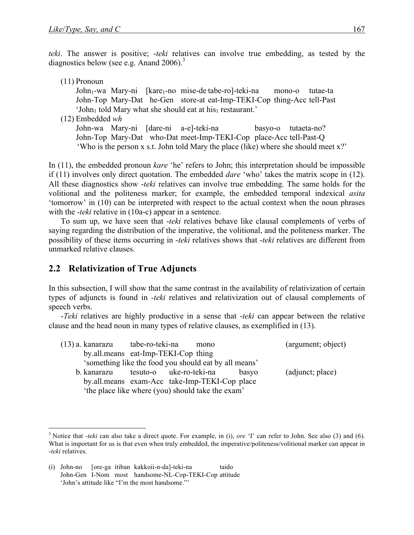*teki*. The answer is positive; -*teki* relatives can involve true embedding, as tested by the diagnostics below (see e.g. Anand 2006).<sup>3</sup>

| $(11)$ Pronoun                                                                      |                     |          |
|-------------------------------------------------------------------------------------|---------------------|----------|
| John <sub>1</sub> -wa Mary-ni [kare <sub>1</sub> -no mise-de tabe-ro]-teki-na       | mono-o              | tutae-ta |
| John-Top Mary-Dat he-Gen store-at eat-Imp-TEKI-Cop thing-Acc tell-Past              |                     |          |
| 'John <sub>1</sub> told Mary what she should eat at his <sub>1</sub> restaurant.'   |                     |          |
| $(12)$ Embedded wh                                                                  |                     |          |
| John-wa Mary-ni [dare-ni a-e]-teki-na                                               | basyo-o tutaeta-no? |          |
| John-Top Mary-Dat who-Dat meet-Imp-TEKI-Cop place-Acc tell-Past-Q                   |                     |          |
| 'Who is the person x s.t. John told Mary the place (like) where she should meet x?' |                     |          |
|                                                                                     |                     |          |

In (11), the embedded pronoun *kare* 'he' refers to John; this interpretation should be impossible if (11) involves only direct quotation. The embedded *dare* 'who' takes the matrix scope in (12). All these diagnostics show -*teki* relatives can involve true embedding. The same holds for the volitional and the politeness marker; for example, the embedded temporal indexical *asita* 'tomorrow' in (10) can be interpreted with respect to the actual context when the noun phrases with the -*teki* relative in (10a-c) appear in a sentence.

To sum up, we have seen that -*teki* relatives behave like clausal complements of verbs of saying regarding the distribution of the imperative, the volitional, and the politeness marker. The possibility of these items occurring in -*teki* relatives shows that -*teki* relatives are different from unmarked relative clauses.

#### **2.2 Relativization of True Adjuncts**

In this subsection, I will show that the same contrast in the availability of relativization of certain types of adjuncts is found in *-teki* relatives and relativization out of clausal complements of speech verbs.

-*Teki* relatives are highly productive in a sense that -*teki* can appear between the relative clause and the head noun in many types of relative clauses, as exemplified in (13).

| (13) a. kanarazu tabe-ro-teki-na                      |  | mono |       | (argument; object) |
|-------------------------------------------------------|--|------|-------|--------------------|
| by all means eat-Imp-TEKI-Cop thing                   |  |      |       |                    |
| 'something like the food you should eat by all means' |  |      |       |                    |
| b. kanarazu tesuto-o uke-ro-teki-na                   |  |      | basyo | (adjunct; place)   |
| by all means exam-Acc take-Imp-TEKI-Cop place         |  |      |       |                    |
| 'the place like where (you) should take the exam'     |  |      |       |                    |

 <sup>3</sup> Notice that -*teki* can also take a direct quote. For example, in (i), *ore* 'I' can refer to John. See also (3) and (6). What is important for us is that even when truly embedded, the imperative/politeness/volitional marker can appear in -*teki* relatives.

<sup>(</sup>i) John-no [ore-ga itiban kakkoii-n-da]-teki-na taido John-Gen I-Nom most handsome-NL-Cop-TEKI-Cop attitude 'John's attitude like "I'm the most handsome."'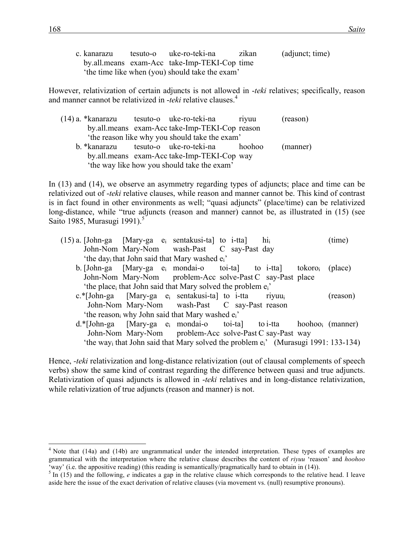| c. kanarazu | tesuto-o uke-ro-teki-na                        | zikan | (adjunct; time) |
|-------------|------------------------------------------------|-------|-----------------|
|             | by all means exam-Acc take-Imp-TEKI-Cop time   |       |                 |
|             | the time like when (you) should take the exam' |       |                 |

However, relativization of certain adjuncts is not allowed in -*teki* relatives; specifically, reason and manner cannot be relativized in -*teki* relative clauses. 4

|  | (14) a. *kanarazu        tesuto-o     uke-ro-teki-na | riyuu | (reason) |
|--|------------------------------------------------------|-------|----------|
|  | by.all.means exam-Acc take-Imp-TEKI-Cop reason       |       |          |
|  | 'the reason like why you should take the exam'       |       |          |
|  | b. *kanarazu tesuto-o uke-ro-teki-na hoohoo          |       | (manner) |
|  | by.all.means exam-Acc take-Imp-TEKI-Cop way          |       |          |
|  | 'the way like how you should take the exam'          |       |          |

In (13) and (14), we observe an asymmetry regarding types of adjuncts; place and time can be relativized out of -*teki* relative clauses, while reason and manner cannot be. This kind of contrast is in fact found in other environments as well; "quasi adjuncts" (place/time) can be relativized long-distance, while "true adjuncts (reason and manner) cannot be, as illustrated in (15) (see Saito 1985, Murasugi 1991).<sup>5</sup>

| $(15)$ a. [John-ga [Mary-ga $e_i$ sentakusi-ta] to i-tta]                                                   |  |  | $\mathbf{hi}_i$ | (time)   |
|-------------------------------------------------------------------------------------------------------------|--|--|-----------------|----------|
| John-Nom Mary-Nom wash-Past C say-Past day                                                                  |  |  |                 |          |
| 'the day <sub>i</sub> that John said that Mary washed e <sub>i</sub> '                                      |  |  |                 |          |
| b. [John-ga [Mary-ga $e_i$ mondai-o toi-ta] to i-tta] tokoro $_i$ (place)                                   |  |  |                 |          |
| John-Nom Mary-Nom problem-Acc solve-Past C say-Past place                                                   |  |  |                 |          |
| 'the place <sub>i</sub> that John said that Mary solved the problem e <sub>i</sub> '                        |  |  |                 |          |
| $c.*[John-ga$ [Mary-ga $e_i$ sentakusi-ta] to i-tta                                                         |  |  | <b>rivuu</b>    | (reason) |
| John-Nom Mary-Nom wash-Past C say-Past reason                                                               |  |  |                 |          |
| 'the reason <sub>i</sub> why John said that Mary washed e <sub>i</sub> '                                    |  |  |                 |          |
| $d.*[John-ga$ [Mary-ga $e_i$ mondai-o toi-ta] to i-tta hoohoo; (manner)                                     |  |  |                 |          |
| John-Nom Mary-Nom problem-Acc solve-Past C say-Past way                                                     |  |  |                 |          |
| 'the way <sub>i</sub> that John said that Mary solved the problem e <sub>i</sub> ' (Murasugi 1991: 133-134) |  |  |                 |          |

Hence, *-teki* relativization and long-distance relativization (out of clausal complements of speech verbs) show the same kind of contrast regarding the difference between quasi and true adjuncts. Relativization of quasi adjuncts is allowed in -*teki* relatives and in long-distance relativization, while relativization of true adjuncts (reason and manner) is not.

<sup>&</sup>lt;sup>4</sup> Note that (14a) and (14b) are ungrammatical under the intended interpretation. These types of examples are grammatical with the interpretation where the relative clause describes the content of *riyuu* 'reason' and *hoohoo*

 $5 \text{ In } (15)$  and the following, *e* indicates a gap in the relative clause which corresponds to the relative head. I leave aside here the issue of the exact derivation of relative clauses (via movement vs. (null) resumptive pronouns).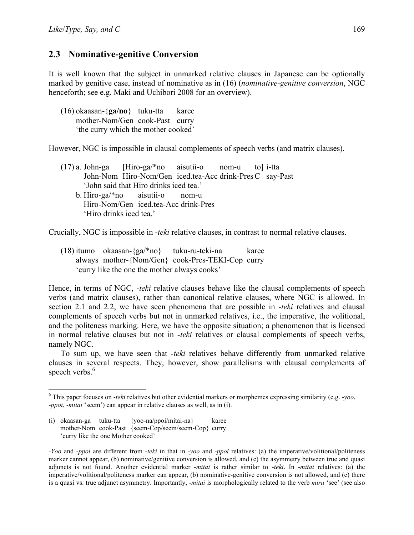#### **2.3** Nominative-genitive Conversion

It is well known that the subject in unmarked relative clauses in Japanese can be optionally marked by genitive case, instead of nominative as in (16) (*nominative-genitive conversion*, NGC henceforth; see e.g. Maki and Uchibori 2008 for an overview).

(16) okaasan-{**ga/no**} tuku-tta karee mother-Nom/Gen cook-Past curry 'the curry which the mother cooked'

However, NGC is impossible in clausal complements of speech verbs (and matrix clauses).

(17) a. John-ga [Hiro-ga/\*no aisutii-o nom-u to] i-tta John-Nom Hiro-Nom/Gen iced.tea-Acc drink-PresC say-Past 'John said that Hiro drinks iced tea.' b. Hiro-ga/\*no aisutii-o nom-u Hiro-Nom/Gen iced.tea-Acc drink-Pres 'Hiro drinks iced tea.'

Crucially, NGC is impossible in -*teki* relative clauses, in contrast to normal relative clauses.

 $(18)$  itumo okaasan- ${ga$ \*no} tuku-ru-teki-na karee always mother-{Nom/Gen} cook-Pres-TEKI-Cop curry 'curry like the one the mother always cooks'

Hence, in terms of NGC, -*teki* relative clauses behave like the clausal complements of speech verbs (and matrix clauses), rather than canonical relative clauses, where NGC is allowed. In section 2.1 and 2.2, we have seen phenomena that are possible in *-teki* relatives and clausal complements of speech verbs but not in unmarked relatives, i.e., the imperative, the volitional, and the politeness marking. Here, we have the opposite situation; a phenomenon that is licensed in normal relative clauses but not in *-teki* relatives or clausal complements of speech verbs, namely NGC.

To sum up, we have seen that *-teki* relatives behave differently from unmarked relative clauses in several respects. They, however, show parallelisms with clausal complements of speech verbs.<sup>6</sup>

(i) okaasan-ga tuku-tta {yoo-na/ppoi/mitai-na} karee mother-Nom cook-Past {seem-Cop/seem/seem-Cop} curry 'curry like the one Mother cooked'

 <sup>6</sup> This paper focuses on -*teki* relatives but other evidential markers or morphemes expressing similarity (e.g. -*yoo*, -*ppoi*, -*mitai* 'seem') can appear in relative clauses as well, as in (i).

*<sup>-</sup>Yoo* and -*ppoi* are different from -*teki* in that in -*yoo* and -*ppoi* relatives: (a) the imperative/volitional/politeness marker cannot appear, (b) nominative/genitive conversion is allowed, and (c) the asymmetry between true and quasi adjuncts is not found. Another evidential marker -*mitai* is rather similar to -*teki*. In -*mitai* relatives: (a) the imperative/volitional/politeness marker can appear, (b) nominative-genitive conversion is not allowed, and (c) there is a quasi vs. true adjunct asymmetry. Importantly, -*mitai* is morphologically related to the verb *miru* 'see' (see also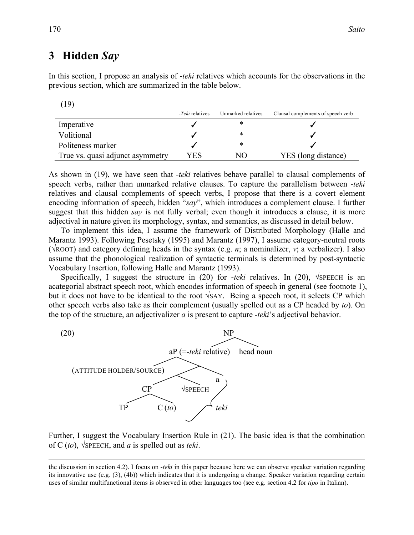#### **3**xx**Hidden** *Say*

In this section, I propose an analysis of -*teki* relatives which accounts for the observations in the previous section, which are summarized in the table below.

|--|

|                                  | - <i>Teki</i> relatives | Unmarked relatives | Clausal complements of speech verb |
|----------------------------------|-------------------------|--------------------|------------------------------------|
| Imperative                       |                         | ∗                  |                                    |
| Volitional                       |                         | ⋇                  |                                    |
| Politeness marker                |                         | ∗                  |                                    |
| True vs. quasi adjunct asymmetry | YES                     | NО                 | YES (long distance)                |

As shown in (19), we have seen that -*teki* relatives behave parallel to clausal complements of speech verbs, rather than unmarked relative clauses. To capture the parallelism between -*teki* relatives and clausal complements of speech verbs, I propose that there is a covert element encoding information of speech, hidden "*say*", which introduces a complement clause. I further suggest that this hidden *say* is not fully verbal; even though it introduces a clause, it is more adjectival in nature given its morphology, syntax, and semantics, as discussed in detail below.

To implement this idea, I assume the framework of Distributed Morphology (Halle and Marantz 1993). Following Pesetsky (1995) and Marantz (1997), I assume category-neutral roots (√ROOT) and category defining heads in the syntax (e.g. *n*; a nominalizer, *v*; a verbalizer). I also assume that the phonological realization of syntactic terminals is determined by post-syntactic Vocabulary Insertion, following Halle and Marantz (1993).

Specifically, I suggest the structure in (20) for *-teki* relatives. In (20), √SPEECH is an acategorial abstract speech root, which encodes information of speech in general (see footnote 1), but it does not have to be identical to the root √SAY. Being a speech root, it selects CP which other speech verbs also take as their complement (usually spelled out as a CP headed by *to*). On the top of the structure, an adjectivalizer *a* is present to capture -*teki*'s adjectival behavior.



Further, I suggest the Vocabulary Insertion Rule in (21). The basic idea is that the combination of C (*to*), √SPEECH, and *a* is spelled out as *teki*.

the discussion in section 4.2). I focus on -*teki* in this paper because here we can observe speaker variation regarding its innovative use (e.g. (3), (4b)) which indicates that it is undergoing a change. Speaker variation regarding certain uses of similar multifunctional items is observed in other languages too (see e.g. section 4.2 for *tipo* in Italian).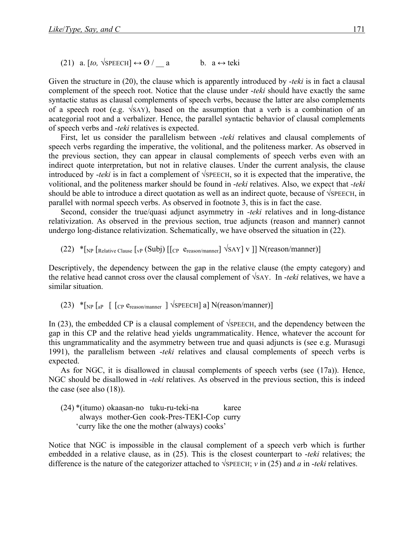(21) a. [to,  $\sqrt{\text{SPEECH}} \leftrightarrow \emptyset$  / a b. a  $\leftrightarrow$  teki

Given the structure in (20), the clause which is apparently introduced by -*teki* is in fact a clausal complement of the speech root. Notice that the clause under -*teki* should have exactly the same syntactic status as clausal complements of speech verbs, because the latter are also complements of a speech root (e.g. √SAY), based on the assumption that a verb is a combination of an acategorial root and a verbalizer. Hence, the parallel syntactic behavior of clausal complements of speech verbs and -*teki* relatives is expected.

First, let us consider the parallelism between -*teki* relatives and clausal complements of speech verbs regarding the imperative, the volitional, and the politeness marker. As observed in the previous section, they can appear in clausal complements of speech verbs even with an indirect quote interpretation, but not in relative clauses. Under the current analysis, the clause introduced by -*teki* is in fact a complement of √SPEECH, so it is expected that the imperative, the volitional, and the politeness marker should be found in -*teki* relatives. Also, we expect that *-teki* should be able to introduce a direct quotation as well as an indirect quote, because of √SPEECH, in parallel with normal speech verbs. As observed in footnote 3, this is in fact the case.

Second, consider the true/quasi adjunct asymmetry in *-teki* relatives and in long-distance relativization. As observed in the previous section, true adjuncts (reason and manner) cannot undergo long-distance relativization. Schematically, we have observed the situation in (22).

(22) \* $\lceil_{NP}$  [Relative Clause [vp (Subj) [[cp  $e_{reason/manner}$ ]  $\sqrt{SAY}$ ] v ]] N(reason/manner)]

Descriptively, the dependency between the gap in the relative clause (the empty category) and the relative head cannot cross over the clausal complement of √SAY. In -*teki* relatives, we have a similar situation.

(23)  $*$ [NP [aP [ [CP  $e$ <sub>reason/manner</sub> ]  $\sqrt{s}$ PEECH] a] N(reason/manner)]

In (23), the embedded CP is a clausal complement of √SPEECH, and the dependency between the gap in this CP and the relative head yields ungrammaticality. Hence, whatever the account for this ungrammaticality and the asymmetry between true and quasi adjuncts is (see e.g. Murasugi 1991), the parallelism between -*teki* relatives and clausal complements of speech verbs is expected.

As for NGC, it is disallowed in clausal complements of speech verbs (see (17a)). Hence, NGC should be disallowed in -*teki* relatives. As observed in the previous section, this is indeed the case (see also  $(18)$ ).

(24) \*(itumo) okaasan-no tuku-ru-teki-na karee always mother-Gen cook-Pres-TEKI-Cop curry 'curry like the one the mother (always) cooks'

Notice that NGC is impossible in the clausal complement of a speech verb which is further embedded in a relative clause, as in (25). This is the closest counterpart to -*teki* relatives; the difference is the nature of the categorizer attached to √SPEECH; *v* in (25) and *a* in -*teki* relatives.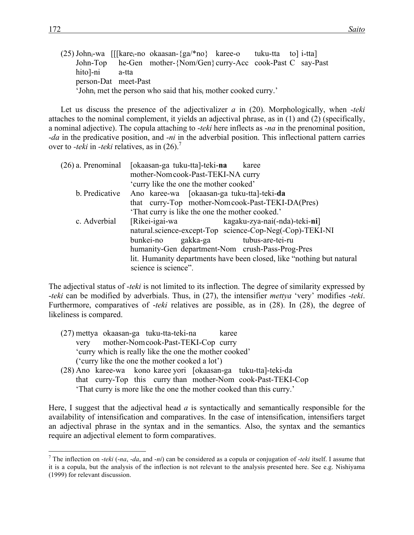|                |                      | $(25)$ John <sub>i</sub> -wa [[[kare <sub>i</sub> -no okaasan- $\{ga$ <sup>*</sup> no} karee-o tuku-tta to] i-tta] |  |  |
|----------------|----------------------|--------------------------------------------------------------------------------------------------------------------|--|--|
|                |                      | John-Top he-Gen mother-{Nom/Gen} curry-Acc cook-Past C say-Past                                                    |  |  |
| hito]-ni a-tta |                      |                                                                                                                    |  |  |
|                | person-Dat meet-Past |                                                                                                                    |  |  |
|                |                      | 'John <sub>i</sub> met the person who said that his <sub>i</sub> mother cooked curry.'                             |  |  |

Let us discuss the presence of the adjectivalizer *a* in (20). Morphologically, when -*teki* attaches to the nominal complement, it yields an adjectival phrase, as in (1) and (2) (specifically, a nominal adjective). The copula attaching to -*teki* here inflects as -*na* in the prenominal position, -*da* in the predicative position, and -*ni* in the adverbial position. This inflectional pattern carries over to *-teki* in *-teki* relatives, as in (26).7

|                | (26) a. Prenominal [okaasan-ga tuku-tta]-teki-na<br>karee             |
|----------------|-----------------------------------------------------------------------|
|                | mother-Nom cook-Past-TEKI-NA curry                                    |
|                | 'curry like the one the mother cooked'                                |
| b. Predicative | Ano karee-wa [okaasan-ga tuku-tta]-teki-da                            |
|                | that curry-Top mother-Nomcook-Past-TEKI-DA(Pres)                      |
|                | 'That curry is like the one the mother cooked.'                       |
| c. Adverbial   | [Rikei-igai-wa kagaku-zya-nai(-nda)-teki-ni]                          |
|                | natural.science-except-Top science-Cop-Neg(-Cop)-TEKI-NI              |
|                | gakka-ga tubus-are-tei-ru<br>bunkei-no                                |
|                | humanity-Gen department-Nom crush-Pass-Prog-Pres                      |
|                | lit. Humanity departments have been closed, like "nothing but natural |
|                | science is science".                                                  |

The adjectival status of -*teki* is not limited to its inflection. The degree of similarity expressed by -*teki* can be modified by adverbials. Thus, in (27), the intensifier *mettya* 'very' modifies -*teki*. Furthermore, comparatives of -*teki* relatives are possible, as in (28). In (28), the degree of likeliness is compared.

- (27) mettya okaasan-ga tuku-tta-teki-na karee very mother-Nomcook-Past-TEKI-Cop curry 'curry which is really like the one the mother cooked' ('curry like the one the mother cooked a lot')
- (28) Ano karee-wa kono karee yori [okaasan-ga tuku-tta]-teki-da that curry-Top this curry than mother-Nom cook-Past-TEKI-Cop 'That curry is more like the one the mother cooked than this curry.'

Here, I suggest that the adjectival head *a* is syntactically and semantically responsible for the availability of intensification and comparatives. In the case of intensification, intensifiers target an adjectival phrase in the syntax and in the semantics. Also, the syntax and the semantics require an adjectival element to form comparatives.

 <sup>7</sup> The inflection on -*teki* (-*na*, -*da*, and -*ni*) can be considered as a copula or conjugation of -*teki* itself. I assume that it is a copula, but the analysis of the inflection is not relevant to the analysis presented here. See e.g. Nishiyama (1999) for relevant discussion.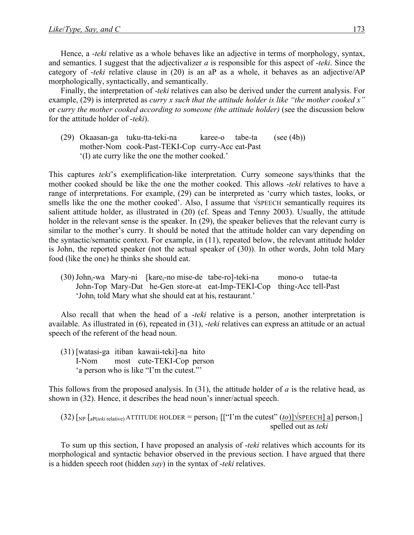Hence, a -*teki* relative as a whole behaves like an adjective in terms of morphology, syntax, and semantics. I suggest that the adjectivalizer *a* is responsible for this aspect of -*teki*. Since the category of -*teki* relative clause in (20) is an aP as a whole, it behaves as an adjective/AP morphologically, syntactically, and semantically.

Finally, the interpretation of -*teki* relatives can also be derived under the current analysis. For example, (29) is interpreted as *curry x such that the attitude holder is like "the mother cooked x"*  or *curry the mother cooked according to someone (the attitude holder)* (see the discussion below for the attitude holder of -*teki*).

(29) Okaasan-ga tuku-tta-teki-na karee-o tabe-ta (see (4b)) mother-Nom cook-Past-TEKI-Cop curry-Acc eat-Past '(I) ate curry like the one the mother cooked.'

This captures *teki*'s exemplification-like interpretation. Curry someone says/thinks that the mother cooked should be like the one the mother cooked. This allows -*teki* relatives to have a range of interpretations. For example, (29) can be interpreted as 'curry which tastes, looks, or smells like the one the mother cooked'. Also, I assume that √SPEECH semantically requires its salient attitude holder, as illustrated in (20) (cf. Speas and Tenny 2003). Usually, the attitude holder in the relevant sense is the speaker. In (29), the speaker believes that the relevant curry is similar to the mother's curry. It should be noted that the attitude holder can vary depending on the syntactic/semantic context. For example, in (11), repeated below, the relevant attitude holder is John, the reported speaker (not the actual speaker of (30)). In other words, John told Mary food (like the one) he thinks she should eat.

(30) Johni-wa Mary-ni [karei-no mise-de tabe-ro]-teki-na mono-o tutae-ta John-Top Mary-Dat he-Gen store-at eat-Imp-TEKI-Cop thing-Acc tell-Past 'John<sub>i</sub> told Mary what she should eat at his<sub>i</sub> restaurant.'

Also recall that when the head of a -*teki* relative is a person, another interpretation is available. As illustrated in (6), repeated in (31), -*teki* relatives can express an attitude or an actual speech of the referent of the head noun.

(31) [watasi-ga itiban kawaii-teki]-na hito I-Nom most cute-TEKI-Cop person 'a person who is like "I'm the cutest."'

This follows from the proposed analysis. In (31), the attitude holder of *a* is the relative head, as shown in (32). Hence, it describes the head noun's inner/actual speech.

(32) 
$$
[NP \left[AP(\text{teki relative}) \, \text{ATTITUDE HOLDER} = \text{person}_1 \left[ \left[ \text{``I'm the cutest''} \left( \frac{to}{\text{NDFECEH}} \right] a \right] \text{person}_1 \right]
$$

To sum up this section, I have proposed an analysis of -*teki* relatives which accounts for its morphological and syntactic behavior observed in the previous section. I have argued that there is a hidden speech root (hidden *say*) in the syntax of -*teki* relatives.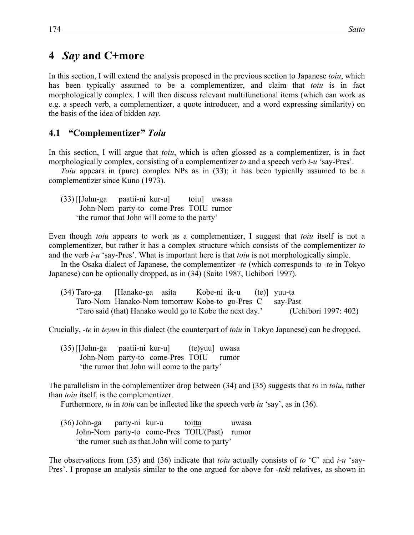#### **4**xx*Say* **and C+more**

In this section, I will extend the analysis proposed in the previous section to Japanese *toiu*, which has been typically assumed to be a complementizer, and claim that *toiu* is in fact morphologically complex. I will then discuss relevant multifunctional items (which can work as e.g. a speech verb, a complementizer, a quote introducer, and a word expressing similarity) on the basis of the idea of hidden *say*.

#### **4.1**xx**"Complementizer"** *Toiu*

In this section, I will argue that *toiu*, which is often glossed as a complementizer, is in fact morphologically complex, consisting of a complementizer *to* and a speech verb *i-u* 'say-Pres'.

*Toiu* appears in (pure) complex NPs as in (33); it has been typically assumed to be a complementizer since Kuno (1973).

(33) [[John-ga paatii-ni kur-u] toiu] uwasa John-Nom party-to come-Pres TOIU rumor 'the rumor that John will come to the party'

Even though *toiu* appears to work as a complementizer, I suggest that *toiu* itself is not a complementizer, but rather it has a complex structure which consists of the complementizer *to* and the verb *i-u* 'say-Pres'. What is important here is that *toiu* is not morphologically simple.

In the Osaka dialect of Japanese, the complementizer -*te* (which corresponds to -*to* in Tokyo Japanese) can be optionally dropped, as in (34) (Saito 1987, Uchibori 1997).

| (34) Taro-ga [Hanako-ga asita |                                                          | Kobe-ni ik-u (te) yuu-ta |  |                      |
|-------------------------------|----------------------------------------------------------|--------------------------|--|----------------------|
|                               | Taro-Nom Hanako-Nom tomorrow Kobe-to go-Pres C say-Past  |                          |  |                      |
|                               | 'Taro said (that) Hanako would go to Kobe the next day.' |                          |  | (Uchibori 1997: 402) |

Crucially, -*te* in *teyuu* in this dialect (the counterpart of *toiu* in Tokyo Japanese) can be dropped.

(35) [[John-ga paatii-ni kur-u] (te)yuu] uwasa John-Nom party-to come-Pres TOIU rumor 'the rumor that John will come to the party'

The parallelism in the complementizer drop between (34) and (35) suggests that *to* in *toiu*, rather than *toiu* itself, is the complementizer.

Furthermore, *iu* in *toiu* can be inflected like the speech verb *iu* 'say', as in (36).

(36) John-ga party-ni kur-u toitta uwasa John-Nom party-to come-Pres TOIU(Past) rumor 'the rumor such as that John will come to party'

The observations from (35) and (36) indicate that *toiu* actually consists of *to* 'C' and *i-u* 'say-Pres'. I propose an analysis similar to the one argued for above for -*teki* relatives, as shown in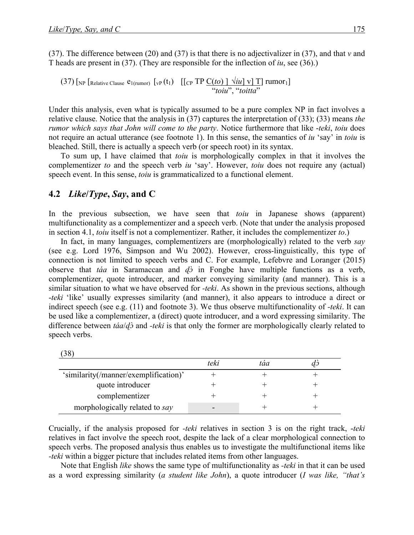(37). The difference between (20) and (37) is that there is no adjectivalizer in (37), and that *v* and T heads are present in (37). (They are responsible for the inflection of *iu*, see (36).)

 $(37)$  [NP [Relative Clause  $e_{1(\text{rumor})}$  [vP  $(t_1)$  [[CP TP  $C(to)$ ]  $\forall iu$ ] v] T] rumor<sub>1</sub>] "*toiu*", "*toitta*"

Under this analysis, even what is typically assumed to be a pure complex NP in fact involves a relative clause. Notice that the analysis in (37) captures the interpretation of (33); (33) means *the rumor which says that John will come to the party*. Notice furthermore that like -*teki*, *toiu* does not require an actual utterance (see footnote 1). In this sense, the semantics of *iu* 'say' in *toiu* is bleached. Still, there is actually a speech verb (or speech root) in its syntax.

To sum up, I have claimed that *toiu* is morphologically complex in that it involves the complementizer *to* and the speech verb *iu* 'say'. However, *toiu* does not require any (actual) speech event. In this sense, *toiu* is grammaticalized to a functional element.

#### **4.2** *Like* $(Type, Say, and C)$

In the previous subsection, we have seen that *toiu* in Japanese shows (apparent) multifunctionality as a complementizer and a speech verb. (Note that under the analysis proposed in section 4.1, *toiu* itself is not a complementizer. Rather, it includes the complementizer *to*.)

In fact, in many languages, complementizers are (morphologically) related to the verb *say* (see e.g. Lord 1976, Simpson and Wu 2002). However, cross-linguistically, this type of connection is not limited to speech verbs and C. For example, Lefebvre and Loranger (2015) observe that *táa* in Saramaccan and *ɖɔ̀* in Fongbe have multiple functions as a verb, complementizer, quote introducer, and marker conveying similarity (and manner). This is a similar situation to what we have observed for *-teki*. As shown in the previous sections, although -*teki* 'like' usually expresses similarity (and manner), it also appears to introduce a direct or indirect speech (see e.g. (11) and footnote 3). We thus observe multifunctionality of *-teki*. It can be used like a complementizer, a (direct) quote introducer, and a word expressing similarity. The difference between *táa*/*ɖɔ̀* and *-teki* is that only the former are morphologically clearly related to speech verbs.

| (38)                                  |      |     |  |
|---------------------------------------|------|-----|--|
|                                       | teki | táa |  |
| 'similarity(/manner/exemplification)' |      |     |  |
| quote introducer                      |      |     |  |
| complementizer                        |      |     |  |
| morphologically related to say        |      |     |  |

Crucially, if the analysis proposed for *-teki* relatives in section 3 is on the right track, -*teki* relatives in fact involve the speech root, despite the lack of a clear morphological connection to speech verbs. The proposed analysis thus enables us to investigate the multifunctional items like *-teki* within a bigger picture that includes related items from other languages.

Note that English *like* shows the same type of multifunctionality as *-teki* in that it can be used as a word expressing similarity (*a student like John*), a quote introducer (*I was like, "that's*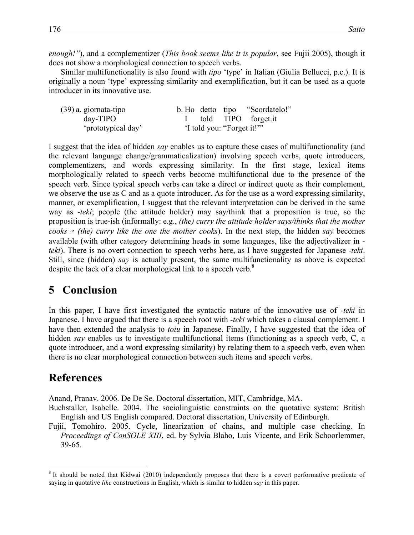*enough!"*), and a complementizer (*This book seems like it is popular*, see Fujii 2005), though it does not show a morphological connection to speech verbs.

Similar multifunctionality is also found with *tipo* 'type' in Italian (Giulia Bellucci, p.c.). It is originally a noun 'type' expressing similarity and exemplification, but it can be used as a quote introducer in its innovative use.

| $(39)$ a. giornata-tipo |  |                            | b. Ho detto tipo "Scordatelo!" |
|-------------------------|--|----------------------------|--------------------------------|
| $day-TIPO$              |  |                            | told TIPO forget.it            |
| 'prototypical day'      |  | 'I told you: "Forget it!"" |                                |

I suggest that the idea of hidden *say* enables us to capture these cases of multifunctionality (and the relevant language change/grammaticalization) involving speech verbs, quote introducers, complementizers, and words expressing similarity. In the first stage, lexical items morphologically related to speech verbs become multifunctional due to the presence of the speech verb. Since typical speech verbs can take a direct or indirect quote as their complement, we observe the use as C and as a quote introducer. As for the use as a word expressing similarity, manner, or exemplification, I suggest that the relevant interpretation can be derived in the same way as -*teki*; people (the attitude holder) may say/think that a proposition is true, so the proposition is true-ish (informally: e.g., *(the) curry the attitude holder says/thinks that the mother cooks*  $\sim$  *(the) curry like the one the mother cooks*). In the next step, the hidden *say* becomes available (with other category determining heads in some languages, like the adjectivalizer in *teki*). There is no overt connection to speech verbs here, as I have suggested for Japanese -*teki*. Still, since (hidden) *say* is actually present, the same multifunctionality as above is expected despite the lack of a clear morphological link to a speech verb.<sup>8</sup>

## **5** Conclusion

In this paper, I have first investigated the syntactic nature of the innovative use of *-teki* in Japanese. I have argued that there is a speech root with *-teki* which takes a clausal complement. I have then extended the analysis to *toiu* in Japanese. Finally, I have suggested that the idea of hidden *say* enables us to investigate multifunctional items (functioning as a speech verb, C, a quote introducer, and a word expressing similarity) by relating them to a speech verb, even when there is no clear morphological connection between such items and speech verbs.

## **References**

Anand, Pranav. 2006. De De Se. Doctoral dissertation, MIT, Cambridge, MA.

Buchstaller, Isabelle. 2004. The sociolinguistic constraints on the quotative system: British English and US English compared. Doctoral dissertation, University of Edinburgh.

Fujii, Tomohiro. 2005. Cycle, linearization of chains, and multiple case checking. In *Proceedings of ConSOLE XIII*, ed. by Sylvia Blaho, Luis Vicente, and Erik Schoorlemmer, 39-65.

<sup>&</sup>lt;sup>8</sup> It should be noted that Kidwai (2010) independently proposes that there is a covert performative predicate of saying in quotative *like* constructions in English, which is similar to hidden *say* in this paper.